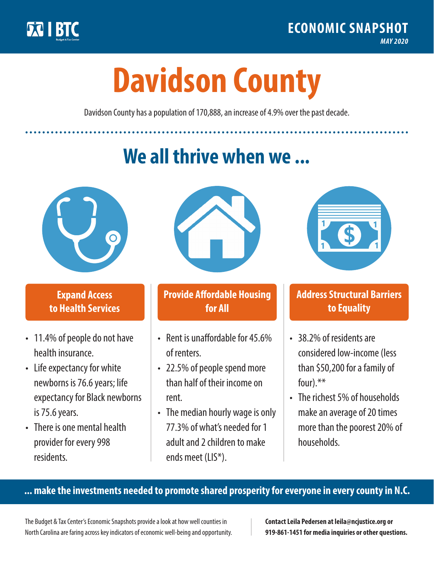

**1**

# **Davidson County**

Davidson County has a population of 170,888, an increase of 4.9% over the past decade.

# **We all thrive when we ...**



**\$ <sup>1</sup>**

**\$ <sup>1</sup>**

### **Expand Access to Health Services**

- 11.4% of people do not have health insurance.
- Life expectancy for white newborns is 76.6years; life expectancy for Black newborns is 75.6 years.
- There is one mental health provider for every 998 residents.



### **Provide Affordable Housing for All**

- Rent is unaffordable for 45.6% of renters.
- 22.5% of people spend more than half of their income on rent.
- The median hourly wage is only 77.3% of what's needed for 1 adult and 2 children to make ends meet (LIS\*).



## **Address Structural Barriers to Equality**

- 38.2% of residents are considered low-income (less than \$50,200 for a family of four).\*\*
- The richest 5% of households make an average of 20 times more than the poorest 20% of households.

#### **... make the investments needed to promote shared prosperity for everyone in every county in N.C.**

The Budget & Tax Center's Economic Snapshots provide a look at how well counties in North Carolina are faring across key indicators of economic well-being and opportunity.